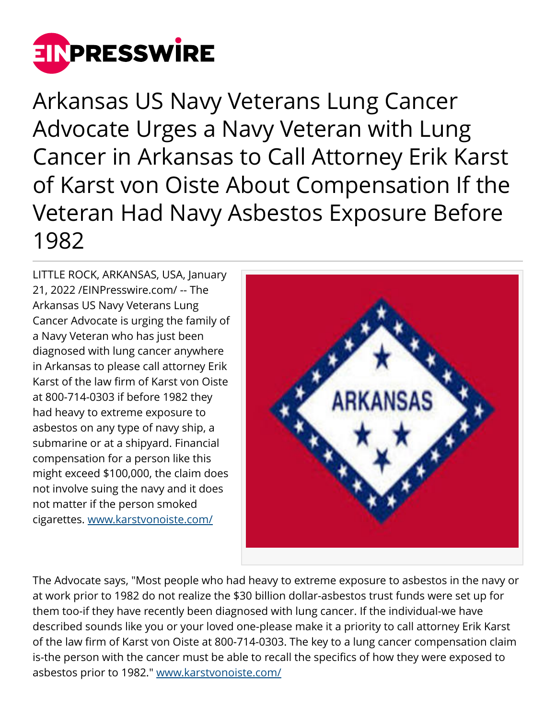

Arkansas US Navy Veterans Lung Cancer Advocate Urges a Navy Veteran with Lung Cancer in Arkansas to Call Attorney Erik Karst of Karst von Oiste About Compensation If the Veteran Had Navy Asbestos Exposure Before 1982

LITTLE ROCK, ARKANSAS, USA, January 21, 2022 /[EINPresswire.com/](http://www.einpresswire.com) -- The Arkansas US Navy Veterans Lung Cancer Advocate is urging the family of a Navy Veteran who has just been diagnosed with lung cancer anywhere in Arkansas to please call attorney Erik Karst of the law firm of Karst von Oiste at 800-714-0303 if before 1982 they had heavy to extreme exposure to asbestos on any type of navy ship, a submarine or at a shipyard. Financial compensation for a person like this might exceed \$100,000, the claim does not involve suing the navy and it does not matter if the person smoked cigarettes. [www.karstvonoiste.com/](http://www.karstvonoiste.com/)



The Advocate says, "Most people who had heavy to extreme exposure to asbestos in the navy or at work prior to 1982 do not realize the \$30 billion dollar-asbestos trust funds were set up for them too-if they have recently been diagnosed with lung cancer. If the individual-we have described sounds like you or your loved one-please make it a priority to call attorney Erik Karst of the law firm of Karst von Oiste at 800-714-0303. The key to a lung cancer compensation claim is-the person with the cancer must be able to recall the specifics of how they were exposed to asbestos prior to 1982." [www.karstvonoiste.com/](http://www.karstvonoiste.com/)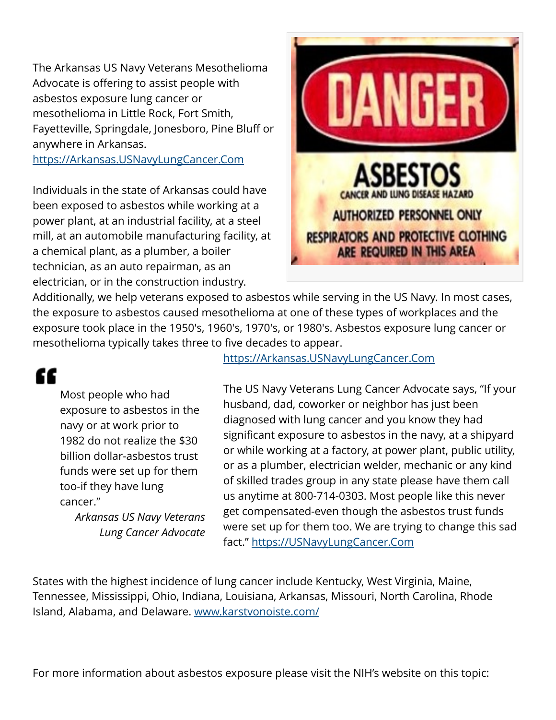The Arkansas US Navy Veterans Mesothelioma Advocate is offering to assist people with asbestos exposure lung cancer or mesothelioma in Little Rock, Fort Smith, Fayetteville, Springdale, Jonesboro, Pine Bluff or anywhere in Arkansas.

<https://Arkansas.USNavyLungCancer.Com>

Individuals in the state of Arkansas could have been exposed to asbestos while working at a power plant, at an industrial facility, at a steel mill, at an automobile manufacturing facility, at a chemical plant, as a plumber, a boiler technician, as an auto repairman, as an electrician, or in the construction industry.



Additionally, we help veterans exposed to asbestos while serving in the US Navy. In most cases, the exposure to asbestos caused mesothelioma at one of these types of workplaces and the exposure took place in the 1950′s, 1960′s, 1970′s, or 1980′s. Asbestos exposure lung cancer or mesothelioma typically takes three to five decades to appear.

## "

Most people who had exposure to asbestos in the navy or at work prior to 1982 do not realize the \$30 billion dollar-asbestos trust funds were set up for them too-if they have lung cancer."

*Arkansas US Navy Veterans Lung Cancer Advocate* <https://Arkansas.USNavyLungCancer.Com>

The US Navy Veterans Lung Cancer Advocate says, "If your husband, dad, coworker or neighbor has just been diagnosed with lung cancer and you know they had significant exposure to asbestos in the navy, at a shipyard or while working at a factory, at power plant, public utility, or as a plumber, electrician welder, mechanic or any kind of skilled trades group in any state please have them call us anytime at 800-714-0303. Most people like this never get compensated-even though the asbestos trust funds were set up for them too. We are trying to change this sad fact."<https://USNavyLungCancer.Com>

States with the highest incidence of lung cancer include Kentucky, West Virginia, Maine, Tennessee, Mississippi, Ohio, Indiana, Louisiana, Arkansas, Missouri, North Carolina, Rhode Island, Alabama, and Delaware. [www.karstvonoiste.com/](http://www.karstvonoiste.com/)

For more information about asbestos exposure please visit the NIH's website on this topic: